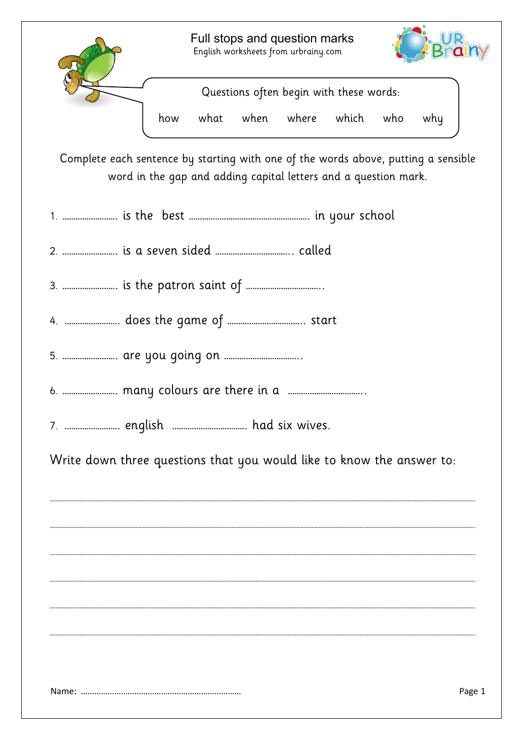

Questions often begin with these words:

how what when where which who why

Complete each sentence by starting with one of the words above, putting a sensible word in the gap and adding capital letters and a question mark.

|--|--|--|--|--|--|

2. ……………………. is a seven sided …………………………….. called

3. ……………………. is the patron saint of ……………………………..

- 4. ……………………. does the game of …………………………….. start
- 5. ……………………. are you going on ……………………………..
- 6. ……………………. many colours are there in a ……………………………..
- 7. ……………………. english ……………………………. had six wives.

Write down three questions that you would like to know the answer to:

………………………………………………………………………………………………………………………………………………………………………………………………………………………………………………………….

………………………………………………………………………………………………………………………………………………………………………………………………………………………………………………………….

………………………………………………………………………………………………………………………………………………………………………………………………………………………………………………………….

………………………………………………………………………………………………………………………………………………………………………………………………………………………………………………………….

………………………………………………………………………………………………………………………………………………………………………………………………………………………………………………………….

………………………………………………………………………………………………………………………………………………………………………………………………………………………………………………………….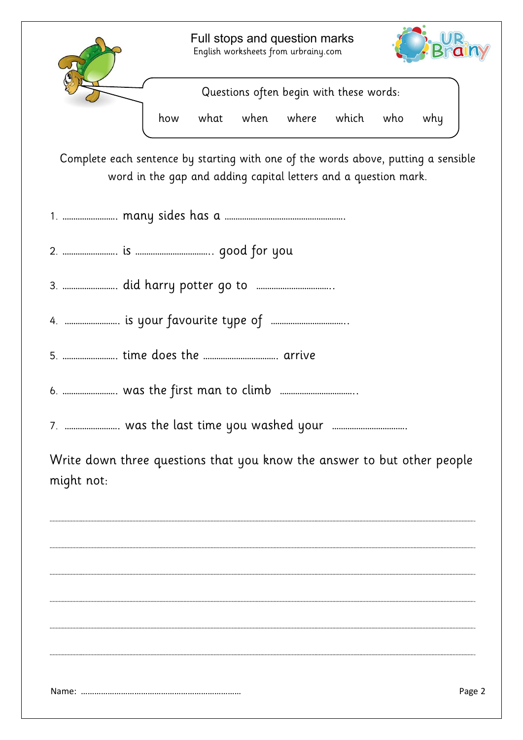

Complete each sentence by starting with one of the words above, putting a sensible word in the gap and adding capital letters and a question mark.

|--|--|--|--|--|--|

2. ……………………. is …………………………….. good for you

3. ……………………. did harry potter go to ……………………………..

4. ……………………. is your favourite type of ……………………………..

5. ……………………. time does the ……………………………. arrive

6. ……………………. was the first man to climb ……………………………..

7. ……………………. was the last time you washed your …………………………….

Write down three questions that you know the answer to but other people might not:

………………………………………………………………………………………………………………………………………………………………………………………………………………………………………………………….

………………………………………………………………………………………………………………………………………………………………………………………………………………………………………………………….

………………………………………………………………………………………………………………………………………………………………………………………………………………………………………………………….

………………………………………………………………………………………………………………………………………………………………………………………………………………………………………………………….

………………………………………………………………………………………………………………………………………………………………………………………………………………………………………………………….

………………………………………………………………………………………………………………………………………………………………………………………………………………………………………………………….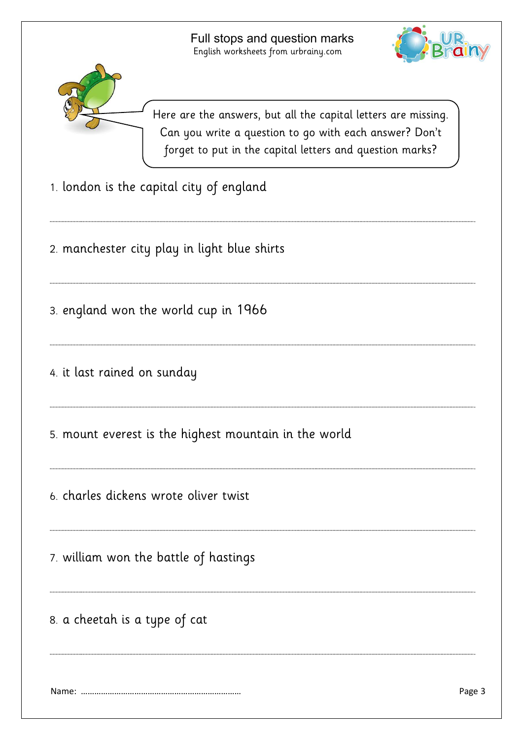………………………………………………………………………………………………………………………………………………………………………………………………………………………………………………………….

………………………………………………………………………………………………………………………………………………………………………………………………………………………………………………………….

………………………………………………………………………………………………………………………………………………………………………………………………………………………………………………………….

………………………………………………………………………………………………………………………………………………………………………………………………………………………………………………………….

………………………………………………………………………………………………………………………………………………………………………………………………………………………………………………………….

………………………………………………………………………………………………………………………………………………………………………………………………………………………………………………………….

………………………………………………………………………………………………………………………………………………………………………………………………………………………………………………………….

………………………………………………………………………………………………………………………………………………………………………………………………………………………………………………………….





Here are the answers, but all the capital letters are missing. Can you write a question to go with each answer? Don't forget to put in the capital letters and question marks?

- 1. london is the capital city of england
- 2. manchester city play in light blue shirts
- 3. england won the world cup in 1966
- 4. it last rained on sunday
- 5. mount everest is the highest mountain in the world
- 6. charles dickens wrote oliver twist
- 7. william won the battle of hastings
- 8. a cheetah is a type of cat

Name: ……………………………………………………………… Page 3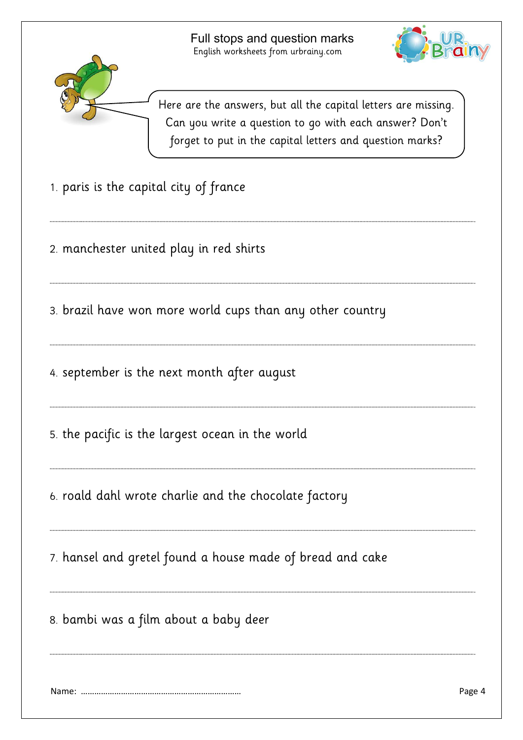………………………………………………………………………………………………………………………………………………………………………………………………………………………………………………………….

………………………………………………………………………………………………………………………………………………………………………………………………………………………………………………………….

………………………………………………………………………………………………………………………………………………………………………………………………………………………………………………………….

………………………………………………………………………………………………………………………………………………………………………………………………………………………………………………………….

………………………………………………………………………………………………………………………………………………………………………………………………………………………………………………………….

………………………………………………………………………………………………………………………………………………………………………………………………………………………………………………………….

………………………………………………………………………………………………………………………………………………………………………………………………………………………………………………………….

………………………………………………………………………………………………………………………………………………………………………………………………………………………………………………………….





Here are the answers, but all the capital letters are missing. Can you write a question to go with each answer? Don't forget to put in the capital letters and question marks?

- 1. paris is the capital city of france
- 2. manchester united play in red shirts

3. brazil have won more world cups than any other country

4. september is the next month after august

5. the pacific is the largest ocean in the world

6. roald dahl wrote charlie and the chocolate factory

7. hansel and gretel found a house made of bread and cake

8. bambi was a film about a baby deer

Name: ……………………………………………………………… Page 4